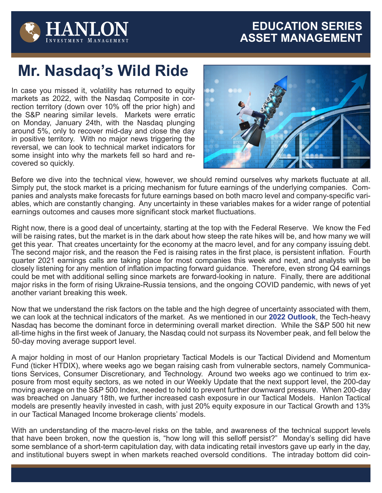## **EDUCATION SERIES ASSET MANAGEMENT**



## **Mr. Nasdaq's Wild Ride**

In case you missed it, volatility has returned to equity markets as 2022, with the Nasdaq Composite in correction territory (down over 10% off the prior high) and the S&P nearing similar levels. Markets were erratic on Monday, January 24th, with the Nasdaq plunging around 5%, only to recover mid-day and close the day in positive territory. With no major news triggering the reversal, we can look to technical market indicators for some insight into why the markets fell so hard and recovered so quickly.



Before we dive into the technical view, however, we should remind ourselves why markets fluctuate at all. Simply put, the stock market is a pricing mechanism for future earnings of the underlying companies. Companies and analysts make forecasts for future earnings based on both macro level and company-specific variables, which are constantly changing. Any uncertainty in these variables makes for a wider range of potential earnings outcomes and causes more significant stock market fluctuations.

Right now, there is a good deal of uncertainty, starting at the top with the Federal Reserve. We know the Fed will be raising rates, but the market is in the dark about how steep the rate hikes will be, and how many we will get this year. That creates uncertainty for the economy at the macro level, and for any company issuing debt. The second major risk, and the reason the Fed is raising rates in the first place, is persistent inflation. Fourth quarter 2021 earnings calls are taking place for most companies this week and next, and analysts will be closely listening for any mention of inflation impacting forward guidance. Therefore, even strong Q4 earnings could be met with additional selling since markets are forward-looking in nature. Finally, there are additional major risks in the form of rising Ukraine-Russia tensions, and the ongoing COVID pandemic, with news of yet another variant breaking this week.

Now that we understand the risk factors on the table and the high degree of uncertainty associated with them, we can look at the technical indicators of the market. As we mentioned in our **[2022 Outlook](https://widget.hanlon.com/HIM_Uploads/SEC/Hanlon/Publications/Yearly_Outlook/2022/2022HIM_Year_Outlook.pdf)**, the Tech-heavy Nasdaq has become the dominant force in determining overall market direction. While the S&P 500 hit new all-time highs in the first week of January, the Nasdaq could not surpass its November peak, and fell below the 50-day moving average support level.

A major holding in most of our Hanlon proprietary Tactical Models is our Tactical Dividend and Momentum Fund (ticker HTDIX), where weeks ago we began raising cash from vulnerable sectors, namely Communications Services, Consumer Discretionary, and Technology. Around two weeks ago we continued to trim exposure from most equity sectors, as we noted in our Weekly Update that the next support level, the 200-day moving average on the S&P 500 Index, needed to hold to prevent further downward pressure. When 200-day was breached on January 18th, we further increased cash exposure in our Tactical Models. Hanlon Tactical models are presently heavily invested in cash, with just 20% equity exposure in our Tactical Growth and 13% in our Tactical Managed Income brokerage clients' models.

With an understanding of the macro-level risks on the table, and awareness of the technical support levels that have been broken, now the question is, "how long will this selloff persist?" Monday's selling did have some semblance of a short-term capitulation day, with data indicating retail investors gave up early in the day, and institutional buyers swept in when markets reached oversold conditions. The intraday bottom did coin